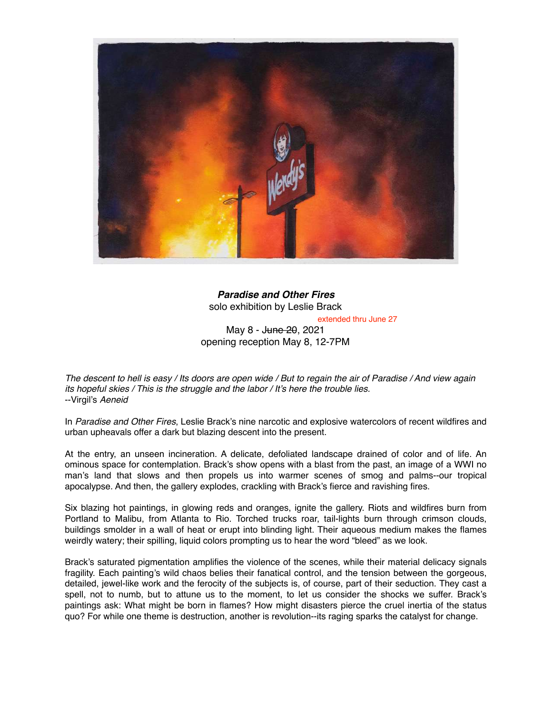

*Paradise and Other Fires* solo exhibition by Leslie Brack extended thru June 27

May 8 - J<del>une 20</del>, 2021 opening reception May 8, 12-7PM

*The descent to hell is easy / Its doors are open wide / But to regain the air of Paradise / And view again its hopeful skies / This is the struggle and the labor / It's here the trouble lies.* --Virgil's *Aeneid*

In *Paradise and Other Fires*, Leslie Brack's nine narcotic and explosive watercolors of recent wildfires and urban upheavals offer a dark but blazing descent into the present.

At the entry, an unseen incineration. A delicate, defoliated landscape drained of color and of life. An ominous space for contemplation. Brack's show opens with a blast from the past, an image of a WWI no man's land that slows and then propels us into warmer scenes of smog and palms--our tropical apocalypse. And then, the gallery explodes, crackling with Brack's fierce and ravishing fires.

Six blazing hot paintings, in glowing reds and oranges, ignite the gallery. Riots and wildfires burn from Portland to Malibu, from Atlanta to Rio. Torched trucks roar, tail-lights burn through crimson clouds, buildings smolder in a wall of heat or erupt into blinding light. Their aqueous medium makes the flames weirdly watery; their spilling, liquid colors prompting us to hear the word "bleed" as we look.

Brack's saturated pigmentation amplifies the violence of the scenes, while their material delicacy signals fragility. Each painting's wild chaos belies their fanatical control, and the tension between the gorgeous, detailed, jewel-like work and the ferocity of the subjects is, of course, part of their seduction. They cast a spell, not to numb, but to attune us to the moment, to let us consider the shocks we suffer. Brack's paintings ask: What might be born in flames? How might disasters pierce the cruel inertia of the status quo? For while one theme is destruction, another is revolution--its raging sparks the catalyst for change.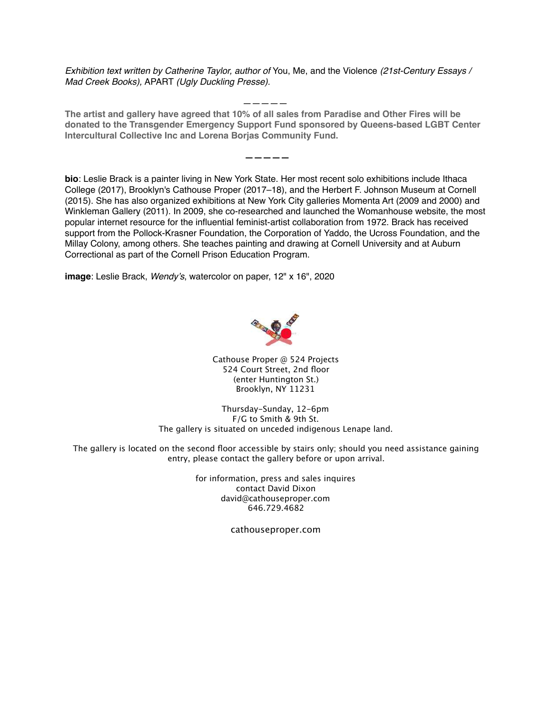*Exhibition text written by Catherine Taylor, author of* You, Me, and the Violence *(21st-Century Essays / Mad Creek Books),* APART *(Ugly Duckling Presse).*

 *—————* **The artist and gallery have agreed that 10% of all sales from Paradise and Other Fires will be donated to the Transgender Emergency Support Fund sponsored by Queens-based LGBT Center Intercultural Collective Inc and Lorena Borjas Community Fund.**

 **—————**

**bio**: Leslie Brack is a painter living in New York State. Her most recent solo exhibitions include Ithaca College (2017), Brooklyn's Cathouse Proper (2017–18), and the Herbert F. Johnson Museum at Cornell (2015). She has also organized exhibitions at New York City galleries Momenta Art (2009 and 2000) and Winkleman Gallery (2011). In 2009, she co-researched and launched the Womanhouse website, the most popular internet resource for the influential feminist-artist collaboration from 1972. Brack has received support from the Pollock-Krasner Foundation, the Corporation of Yaddo, the Ucross Foundation, and the Millay Colony, among others. She teaches painting and drawing at Cornell University and at Auburn Correctional as part of the Cornell Prison Education Program.

**image**: Leslie Brack, *Wendy's*, watercolor on paper, 12" x 16", 2020



Cathouse Proper @ 524 Projects 524 Court Street, 2nd floor (enter Huntington St.) Brooklyn, NY 11231

Thursday-Sunday, 12-6pm F/G to Smith & 9th St. The gallery is situated on unceded indigenous Lenape land.

The gallery is located on the second floor accessible by stairs only; should you need assistance gaining entry, please contact the gallery before or upon arrival.

> for information, press and sales inquires contact David Dixon david@cathouseproper.com 646.729.4682

> > cathouseproper.com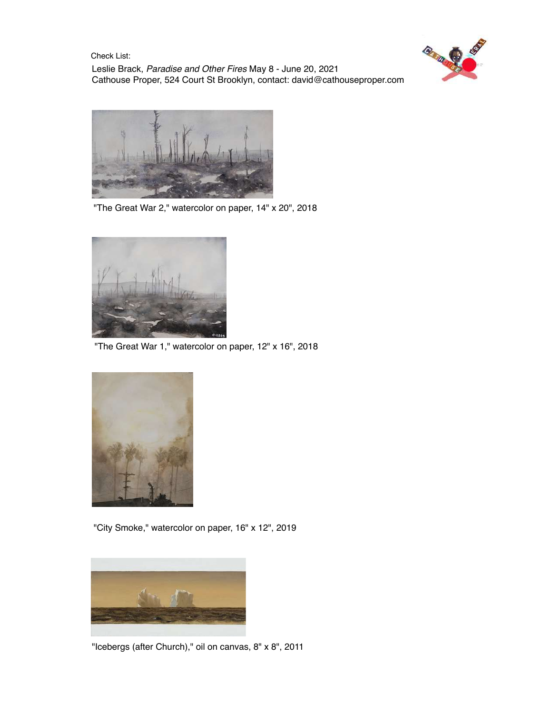**Price List**: Check List:

Leslie Brack, *Paradise and Other Fires* May 8 - June 20, 2021 Cathouse Proper, 524 Court St Brooklyn, contact: [david@cathouseproper.com](mailto:david@cathouseproper.com)





"The Great War 2," watercolor on paper, 14" x 20", 2018



"The Great War 1," watercolor on paper, 12" x 16", 2018



"City Smoke," watercolor on paper, 16" x 12", 2019



"Icebergs (after Church)," oil on canvas, 8" x 8", 2011